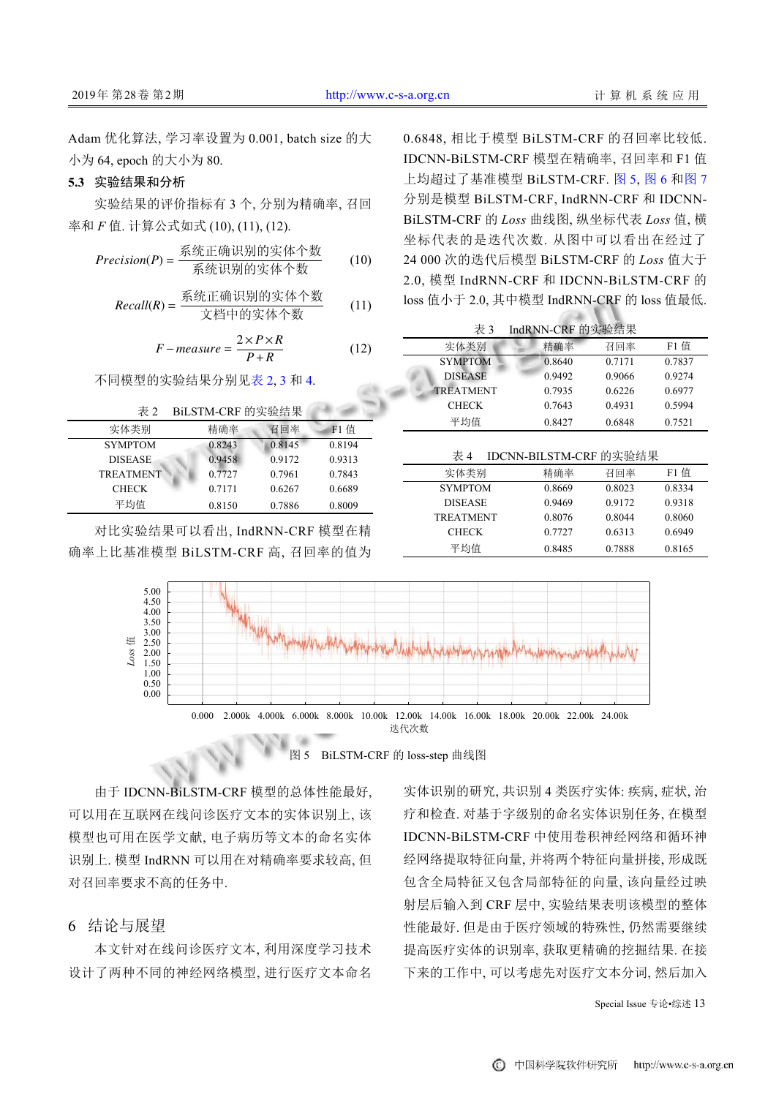Adam 优化算法, 学习率设置为 0.001, batch size 的大 小为 64, epoch 的大小为 80.

## **5.3** 实验结果和分析

实验结果的评价指标有 3 个, 分别为精确率, 召回 率和 *F* 值. 计算公式如式 (10), (11), (12).

$$
Precision(P) = \frac{\text{wide} \text{max} \times \text{max} \times \text{max} \times \text{max} \times \text{max} \times \text{max} \times \text{max} \times \text{max} \times \text{max} \times \text{max} \times \text{max} \times \text{max} \times \text{max} \times \text{max} \times \text{max} \times \text{max} \times \text{max} \times \text{max} \times \text{max} \times \text{max} \times \text{max} \times \text{max} \times \text{max} \times \text{max} \times \text{max} \times \text{max} \times \text{max} \times \text{max} \times \text{max} \times \text{max} \times \text{max} \times \text{max} \times \text{max} \times \text{max} \times \text{max} \times \text{max} \times \text{max} \times \text{max} \times \text{max} \times \text{max} \times \text{max} \times \text{max} \times \text{max} \times \text{max} \times \text{max} \times \text{max} \times \text{max} \times \text{max} \times \text{max} \times \text{max} \times \text{max} \times \text{max} \times \text{max} \times \text{max} \times \text{max} \times \text{max} \times \text{max} \times \text{max} \times \text{max} \times \text{max} \times \text{max} \times \text{max} \times \text{max} \times \text{max} \times \text{max} \times \text{max} \times \text{max} \times \text{max} \times \text{max} \times \text{max} \times \text{max} \times \text{max} \times \text{max} \times \text{max} \times \text{max} \times \text{max} \times \text{max} \times \text{max} \times \text{max} \times \text{max} \times \text{max} \times \text{max} \times \text{max} \times \text{max} \times \text{max} \times \text{max} \times \text{max} \times \text{max} \times \text{max} \times \text{max} \times \text{max} \times \text{max} \times \text{max} \times \text{max} \times \text{max} \times \text{max} \times \text{max} \times \text{max} \times \text{max} \times \text{max} \times \text{max} \times \text{max} \times \text{max} \times \text{max} \times \text{max} \times \text{max} \times \text{max}
$$

Recall(R) = 
$$
\frac{\mathcal{R} \text{5: B} \times \mathcal{R}}{\mathcal{R}} = \frac{\mathcal{R} \times \mathcal{R}}{\mathcal{R}}
$$

$$
F-measure = \frac{2 \times P \times R}{P + R}
$$
 (12)

不同模型的实验结果分别[见表](#page-5-0) [2,](#page-5-0) [3](#page-5-1) 和 [4.](#page-5-2)

<span id="page-5-0"></span>表 2 BiLSTM-CRF 的实验结果

| 实体类别             | 精确率    | 召回率    | $F1$ 值 |
|------------------|--------|--------|--------|
| <b>SYMPTOM</b>   | 0.8243 | 0.8145 | 0.8194 |
| <b>DISEASE</b>   | 0.9458 | 0.9172 | 0.9313 |
| <b>TREATMENT</b> | 0.7727 | 0.7961 | 0.7843 |
| <b>CHECK</b>     | 0.7171 | 0.6267 | 0.6689 |
| 平均值              | 0.8150 | 0.7886 | 0.8009 |

对比实验结果可以看出, IndRNN-CRF 模型在精 确率上比基准模型 BiLSTM-CRF 高, 召回率的值为

0.6848, 相比于模型 BiLSTM-CRF 的召回率比较低. IDCNN-BiLSTM-CRF 模型在精确率, 召回率和 F1 值 上均超过了基准模型 BiLSTM-CRF. [图](#page-5-3) [5](#page-5-3), [图](#page-6-0) [6](#page-6-0) 和[图](#page-6-1) [7](#page-6-1) 分别是模型 BiLSTM-CRF, IndRNN-CRF 和 IDCNN-BiLSTM-CRF 的 *Loss* 曲线图, 纵坐标代表 *Loss* 值, 横 坐标代表的是迭代次数. 从图中可以看出在经过了 24 000 次的迭代后模型 BiLSTM-CRF 的 *Loss* 值大于 2.0, 模型 IndRNN-CRF 和 IDCNN-BiLSTM-CRF 的 loss 值小于 2.0, 其中模型 IndRNN-CRF 的 loss 值最低.

<span id="page-5-1"></span>

| 表 3              | IndRNN-CRF 的实验结果 |        |             |
|------------------|------------------|--------|-------------|
| 实体类别             | 精确率              | 召回率    | <b>F1</b> 值 |
| <b>SYMPTOM</b>   | 0.8640           | 0.7171 | 0.7837      |
| <b>DISEASE</b>   | 0.9492           | 0.9066 | 0.9274      |
| <b>TREATMENT</b> | 0.7935           | 0.6226 | 0.6977      |
| <b>CHECK</b>     | 0.7643           | 0.4931 | 0.5994      |
| 平均值              | 0.8427           | 0.6848 | 0.7521      |

<span id="page-5-2"></span>

| IDCNN-BILSTM-CRF 的实验结果<br>表 4 |        |        |        |  |  |
|-------------------------------|--------|--------|--------|--|--|
| 实体类别                          | 精确率    | 召回率    | F1 值   |  |  |
| <b>SYMPTOM</b>                | 0.8669 | 0.8023 | 0.8334 |  |  |
| <b>DISEASE</b>                | 0.9469 | 0.9172 | 0.9318 |  |  |
| <b>TREATMENT</b>              | 0.8076 | 0.8044 | 0.8060 |  |  |
| <b>CHECK</b>                  | 0.7727 | 0.6313 | 0.6949 |  |  |
| 平均值                           | 0.8485 | 0.7888 | 0.8165 |  |  |





<span id="page-5-3"></span>由于 IDCNN-BiLSTM-CRF 模型的总体性能最好, 可以用在互联网在线问诊医疗文本的实体识别上, 该 模型也可用在医学文献, 电子病历等文本的命名实体 识别上. 模型 IndRNN 可以用在对精确率要求较高, 但 对召回率要求不高的任务中.

## 6 结论与展望

本文针对在线问诊医疗文本, 利用深度学习技术 设计了两种不同的神经网络模型, 进行医疗文本命名

实体识别的研究, 共识别 4 类医疗实体: 疾病, 症状, 治 疗和检查. 对基于字级别的命名实体识别任务, 在模型 IDCNN-BiLSTM-CRF 中使用卷积神经网络和循环神 经网络提取特征向量, 并将两个特征向量拼接, 形成既 包含全局特征又包含局部特征的向量, 该向量经过映 射层后输入到 CRF 层中, 实验结果表明该模型的整体 性能最好. 但是由于医疗领域的特殊性, 仍然需要继续 提高医疗实体的识别率, 获取更精确的挖掘结果. 在接 下来的工作中, 可以考虑先对医疗文本分词, 然后加入

Special Issue 专论•综述 13